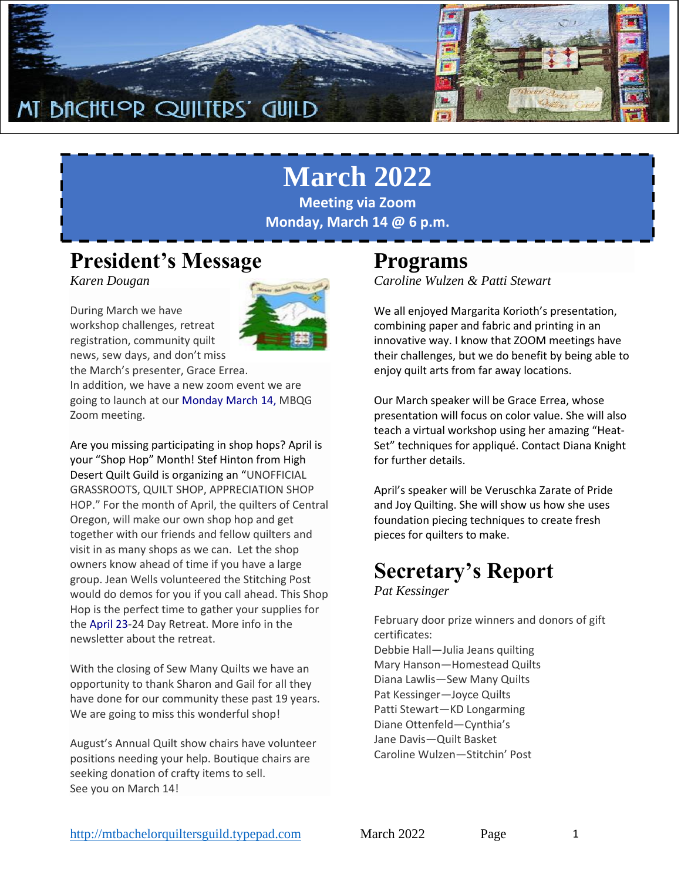

# **March 2022**

**Meeting via Zoom Monday, March 14 @ 6 p.m.**

### **President's Message**

*Karen Dougan*

During March we have workshop challenges, retreat registration, community quilt news, sew days, and don't miss



Are you missing participating in shop hops? April is your "Shop Hop" Month! Stef Hinton from High Desert Quilt Guild is organizing an "UNOFFICIAL GRASSROOTS, QUILT SHOP, APPRECIATION SHOP HOP." For the month of April, the quilters of Central Oregon, will make our own shop hop and get together with our friends and fellow quilters and visit in as many shops as we can. Let the shop owners know ahead of time if you have a large group. Jean Wells volunteered the Stitching Post would do demos for you if you call ahead. This Shop Hop is the perfect time to gather your supplies for the April 23-24 Day Retreat. More info in the newsletter about the retreat.

With the closing of Sew Many Quilts we have an opportunity to thank Sharon and Gail for all they have done for our community these past 19 years. We are going to miss this wonderful shop!

August's Annual Quilt show chairs have volunteer positions needing your help. Boutique chairs are seeking donation of crafty items to sell. See you on March 14!

### **Programs**

*Caroline Wulzen & Patti Stewart*

We all enjoyed Margarita Korioth's presentation, combining paper and fabric and printing in an innovative way. I know that ZOOM meetings have their challenges, but we do benefit by being able to enjoy quilt arts from far away locations.

Our March speaker will be Grace Errea, whose presentation will focus on color value. She will also teach a virtual workshop using her amazing "Heat-Set" techniques for appliqué. Contact Diana Knight for further details.

April's speaker will be Veruschka Zarate of Pride and Joy Quilting. She will show us how she uses foundation piecing techniques to create fresh pieces for quilters to make.

# **Secretary's Report**

*Pat Kessinger*

February door prize winners and donors of gift certificates: Debbie Hall—Julia Jeans quilting Mary Hanson—Homestead Quilts Diana Lawlis—Sew Many Quilts Pat Kessinger—Joyce Quilts Patti Stewart—KD Longarming Diane Ottenfeld—Cynthia's Jane Davis—Quilt Basket Caroline Wulzen—Stitchin' Post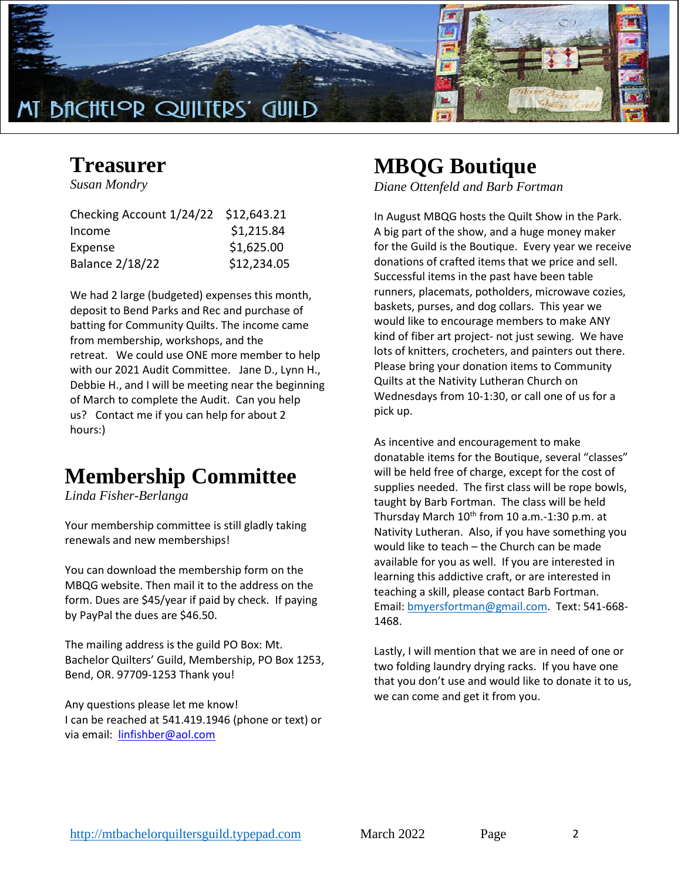

### **Treasurer**

*Susan Mondry*

| Checking Account 1/24/22 \$12,643.21 |
|--------------------------------------|
| \$1,215.84                           |
| \$1,625.00                           |
| \$12,234.05                          |
|                                      |

We had 2 large (budgeted) expenses this month, deposit to Bend Parks and Rec and purchase of batting for Community Quilts. The income came from membership, workshops, and the retreat. We could use ONE more member to help with our 2021 Audit Committee. Jane D., Lynn H., Debbie H., and I will be meeting near the beginning of March to complete the Audit. Can you help us? Contact me if you can help for about 2 hours:)

### **Membership Committee**

*Linda Fisher-Berlanga*

Your membership committee is still gladly taking renewals and new memberships!

You can download the membership form on the MBQG website. Then mail it to the address on the form. Dues are \$45/year if paid by check. If paying by PayPal the dues are \$46.50.

The mailing address is the guild PO Box: Mt. Bachelor Quilters' Guild, Membership, PO Box 1253, Bend, OR. 97709-1253 Thank you!

Any questions please let me know! I can be reached at 541.419.1946 (phone or text) or via email: [linfishber@aol.com](mailto:linfishber@aol.com)

# **MBQG Boutique**

*Diane Ottenfeld and Barb Fortman* 

In August MBQG hosts the Quilt Show in the Park. A big part of the show, and a huge money maker for the Guild is the Boutique. Every year we receive donations of crafted items that we price and sell. Successful items in the past have been table runners, placemats, potholders, microwave cozies, baskets, purses, and dog collars. This year we would like to encourage members to make ANY kind of fiber art project- not just sewing. We have lots of knitters, crocheters, and painters out there. Please bring your donation items to Community Quilts at the Nativity Lutheran Church on Wednesdays from 10-1:30, or call one of us for a pick up.

As incentive and encouragement to make donatable items for the Boutique, several "classes" will be held free of charge, except for the cost of supplies needed. The first class will be rope bowls, taught by Barb Fortman. The class will be held Thursday March  $10^{th}$  from 10 a.m.-1:30 p.m. at Nativity Lutheran. Also, if you have something you would like to teach – the Church can be made available for you as well. If you are interested in learning this addictive craft, or are interested in teaching a skill, please contact Barb Fortman. Email: [bmyersfortman@gmail.com.](mailto:bmyersfortman@gmail.com) Text: 541-668- 1468.

Lastly, I will mention that we are in need of one or two folding laundry drying racks. If you have one that you don't use and would like to donate it to us, we can come and get it from you.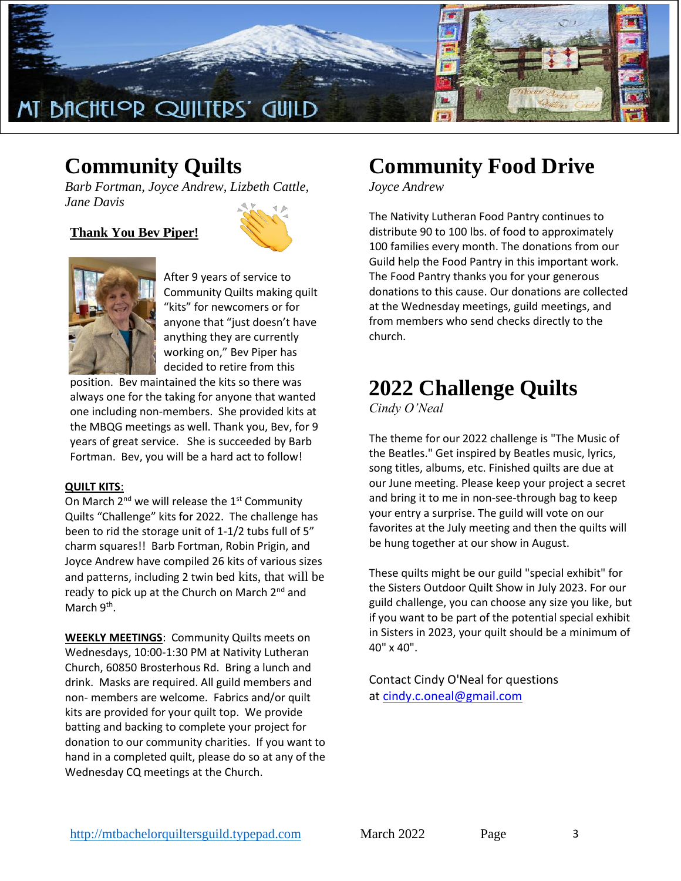

### **Community Quilts**

*Barb Fortman, Joyce Andrew, Lizbeth Cattle, Jane Davis*

**Thank You Bev Piper!**





After 9 years of service to Community Quilts making quilt "kits" for newcomers or for anyone that "just doesn't have anything they are currently working on," Bev Piper has decided to retire from this

position. Bev maintained the kits so there was always one for the taking for anyone that wanted one including non-members. She provided kits at the MBQG meetings as well. Thank you, Bev, for 9 years of great service. She is succeeded by Barb Fortman. Bev, you will be a hard act to follow!

### **QUILT KITS**:

On March  $2^{nd}$  we will release the  $1^{st}$  Community Quilts "Challenge" kits for 2022. The challenge has been to rid the storage unit of 1-1/2 tubs full of 5" charm squares!! Barb Fortman, Robin Prigin, and Joyce Andrew have compiled 26 kits of various sizes and patterns, including 2 twin bed kits, that will be ready to pick up at the Church on March 2<sup>nd</sup> and March 9<sup>th</sup>.

**WEEKLY MEETINGS**: Community Quilts meets on Wednesdays, 10:00-1:30 PM at Nativity Lutheran Church, 60850 Brosterhous Rd. Bring a lunch and drink. Masks are required. All guild members and non- members are welcome. Fabrics and/or quilt kits are provided for your quilt top. We provide batting and backing to complete your project for donation to our community charities. If you want to hand in a completed quilt, please do so at any of the Wednesday CQ meetings at the Church.

# **Community Food Drive**

*Joyce Andrew*

The Nativity Lutheran Food Pantry continues to distribute 90 to 100 lbs. of food to approximately 100 families every month. The donations from our Guild help the Food Pantry in this important work. The Food Pantry thanks you for your generous donations to this cause. Our donations are collected at the Wednesday meetings, guild meetings, and from members who send checks directly to the church.

## **2022 Challenge Quilts**

*Cindy O'Neal*

The theme for our 2022 challenge is "The Music of the Beatles." Get inspired by Beatles music, lyrics, song titles, albums, etc. Finished quilts are due at our June meeting. Please keep your project a secret and bring it to me in non-see-through bag to keep your entry a surprise. The guild will vote on our favorites at the July meeting and then the quilts will be hung together at our show in August.

These quilts might be our guild "special exhibit" for the Sisters Outdoor Quilt Show in July 2023. For our guild challenge, you can choose any size you like, but if you want to be part of the potential special exhibit in Sisters in 2023, your quilt should be a minimum of 40" x 40".

Contact Cindy O'Neal for questions at [cindy.c.oneal@gmail.com](mailto:cindy.c.oneal@gmail.com)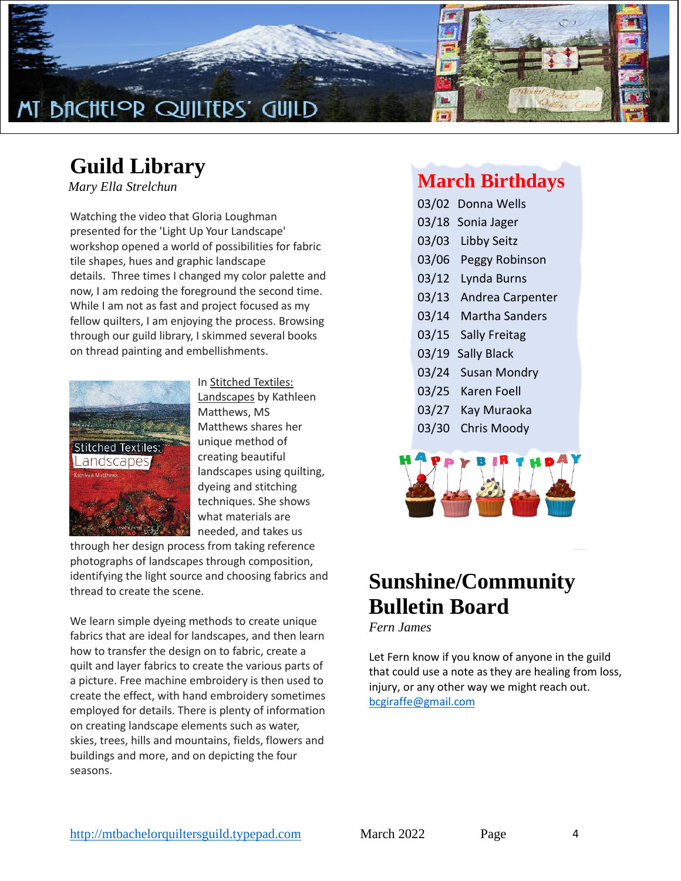

## **Guild Library**

*Mary Ella Strelchun*

Watching the video that Gloria Loughman presented for the 'Light Up Your Landscape' workshop opened a world of possibilities for fabric tile shapes, hues and graphic landscape details. Three times I changed my color palette and now, I am redoing the foreground the second time. While I am not as fast and project focused as my fellow quilters, I am enjoying the process. Browsing through our guild library, I skimmed several books on thread painting and embellishments.



In Stitched Textiles: Landscapes by Kathleen Matthews, MS Matthews shares her unique method of creating beautiful landscapes using quilting, dyeing and stitching techniques. She shows what materials are needed, and takes us

through her design process from taking reference photographs of landscapes through composition, identifying the light source and choosing fabrics and thread to create the scene.

We learn simple dyeing methods to create unique fabrics that are ideal for landscapes, and then learn how to transfer the design on to fabric, create a quilt and layer fabrics to create the various parts of a picture. Free machine embroidery is then used to create the effect, with hand embroidery sometimes employed for details. There is plenty of information on creating landscape elements such as water, skies, trees, hills and mountains, fields, flowers and buildings and more, and on depicting the four seasons.

### **March Birthdays**

- 03/02 Donna Wells
- 03/18 Sonia Jager
- 03/03 Libby Seitz
- 03/06 Peggy Robinson
- 03/12 Lynda Burns
- 03/13 Andrea Carpenter
- 03/14 Martha Sanders
- 03/15 Sally Freitag
- 03/19 Sally Black
- 03/24 Susan Mondry
- 03/25 Karen Foell
- 03/27 Kay Muraoka
- 03/30 Chris Moody

![](_page_3_Picture_22.jpeg)

## **Sunshine/Community Bulletin Board**

*Fern James*

Let Fern know if you know of anyone in the guild that could use a note as they are healing from loss, injury, or any other way we might reach out. [bcgiraffe@gmail.com](mailto:bcgiraffe@gmail.com)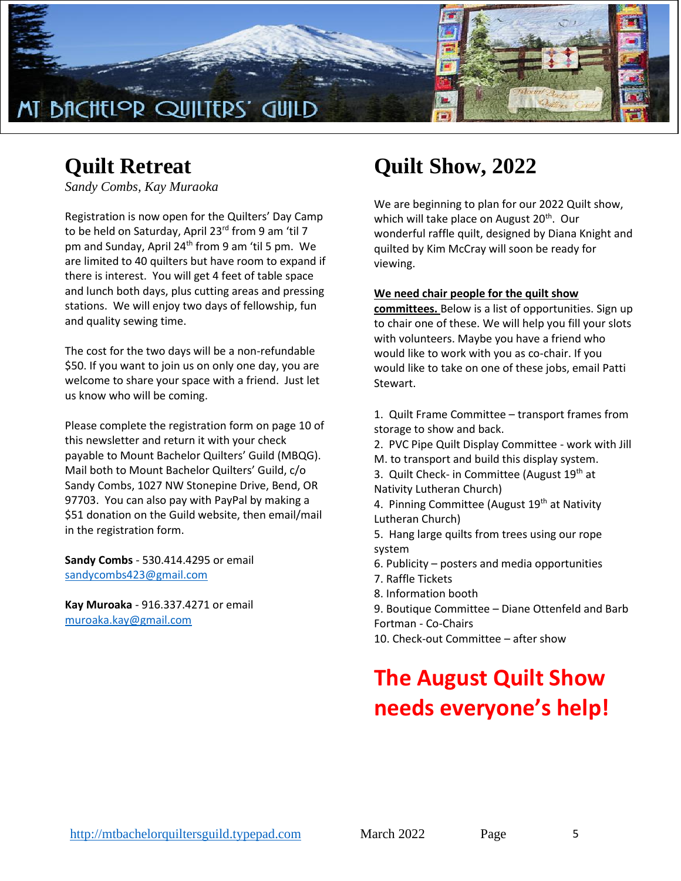![](_page_4_Picture_0.jpeg)

## **Quilt Retreat**

*Sandy Combs, Kay Muraoka*

Registration is now open for the Quilters' Day Camp to be held on Saturday, April 23<sup>rd</sup> from 9 am 'til 7 pm and Sunday, April 24<sup>th</sup> from 9 am 'til 5 pm. We are limited to 40 quilters but have room to expand if there is interest. You will get 4 feet of table space and lunch both days, plus cutting areas and pressing stations. We will enjoy two days of fellowship, fun and quality sewing time.

The cost for the two days will be a non-refundable \$50. If you want to join us on only one day, you are welcome to share your space with a friend. Just let us know who will be coming.

Please complete the registration form on page 10 of this newsletter and return it with your check payable to Mount Bachelor Quilters' Guild (MBQG). Mail both to Mount Bachelor Quilters' Guild, c/o Sandy Combs, 1027 NW Stonepine Drive, Bend, OR 97703. You can also pay with PayPal by making a \$51 donation on the Guild website, then email/mail in the registration form.

**Sandy Combs** - 530.414.4295 or email [sandycombs423@gmail.com](mailto:sandycombs423@gmail.com)

**Kay Muroaka** - 916.337.4271 or email [muroaka.kay@gmail.com](mailto:muroaka.kay@gmail.com)

# **Quilt Show, 2022**

We are beginning to plan for our 2022 Quilt show, which will take place on August 20<sup>th</sup>. Our wonderful raffle quilt, designed by Diana Knight and quilted by Kim McCray will soon be ready for viewing.

#### **We need chair people for the quilt show**

**committees.** Below is a list of opportunities. Sign up to chair one of these. We will help you fill your slots with volunteers. Maybe you have a friend who would like to work with you as co-chair. If you would like to take on one of these jobs, email Patti Stewart.

- 1. Quilt Frame Committee transport frames from storage to show and back.
- 2. PVC Pipe Quilt Display Committee work with Jill
- M. to transport and build this display system.
- 3. Quilt Check- in Committee (August 19<sup>th</sup> at Nativity Lutheran Church)
- 4. Pinning Committee (August 19<sup>th</sup> at Nativity Lutheran Church)
- 5. Hang large quilts from trees using our rope system
- 6. Publicity posters and media opportunities
- 7. Raffle Tickets
- 8. Information booth
- 9. Boutique Committee Diane Ottenfeld and Barb Fortman - Co-Chairs
- 10. Check-out Committee after show

# **The August Quilt Show needs everyone's help!**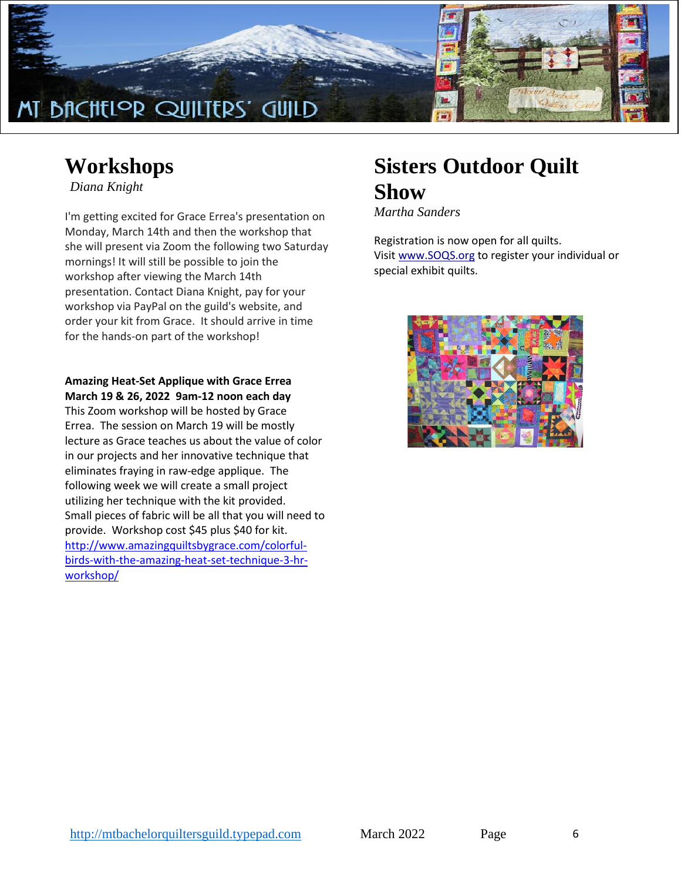![](_page_5_Picture_0.jpeg)

### **Workshops**

*Diana Knight*

I'm getting excited for Grace Errea's presentation on Monday, March 14th and then the workshop that she will present via Zoom the following two Saturday mornings! It will still be possible to join the workshop after viewing the March 14th presentation. Contact Diana Knight, pay for your workshop via PayPal on the guild's website, and order your kit from Grace. It should arrive in time for the hands-on part of the workshop!

### **Amazing Heat-Set Applique with Grace Errea March 19 & 26, 2022 9am-12 noon each day**

This Zoom workshop will be hosted by Grace Errea. The session on March 19 will be mostly lecture as Grace teaches us about the value of color in our projects and her innovative technique that eliminates fraying in raw-edge applique. The following week we will create a small project utilizing her technique with the kit provided. Small pieces of fabric will be all that you will need to provide. Workshop cost \$45 plus \$40 for kit. [http://www.amazingquiltsbygrace.com/colorful](http://www.amazingquiltsbygrace.com/colorful-birds-with-the-amazing-heat-set-technique-3-hr-workshop/)[birds-with-the-amazing-heat-set-technique-3-hr](http://www.amazingquiltsbygrace.com/colorful-birds-with-the-amazing-heat-set-technique-3-hr-workshop/)[workshop/](http://www.amazingquiltsbygrace.com/colorful-birds-with-the-amazing-heat-set-technique-3-hr-workshop/)

# **Sisters Outdoor Quilt Show**

*Martha Sanders*

Registration is now open for all quilts. Visit [www.SOQS.org](http://www.soqs.org/) to register your individual or special exhibit quilts.

![](_page_5_Picture_9.jpeg)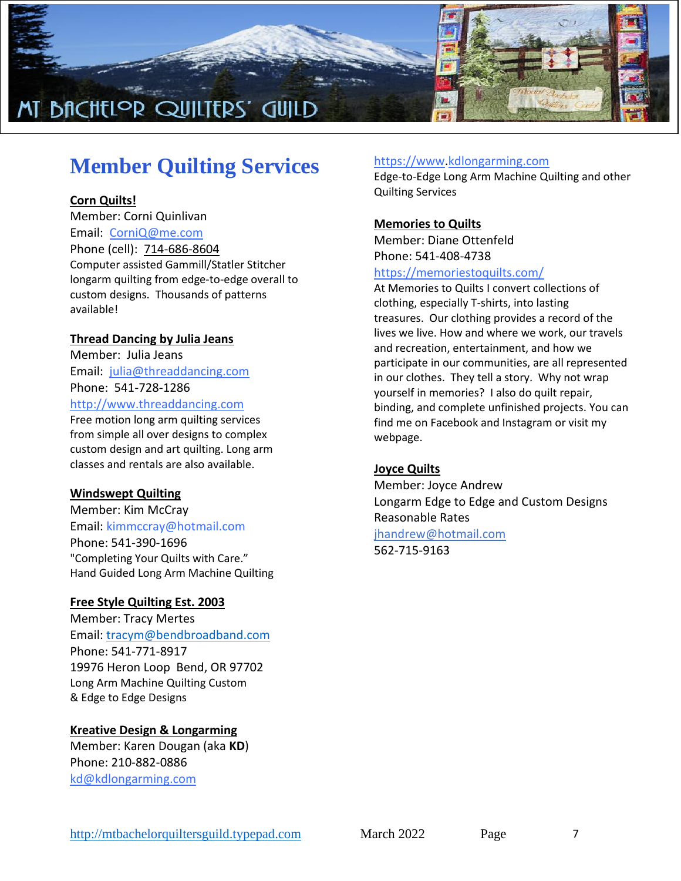![](_page_6_Picture_0.jpeg)

# **Member Quilting Services**

### **Corn Quilts!**

Member: Corni Quinlivan Email: [CorniQ@me.com](mailto:CorniQ@me.com) Phone (cell): [714-686-8604](tel:714-686-8604) Computer assisted Gammill/Statler Stitcher longarm quilting from edge-to-edge overall to custom designs. Thousands of patterns available!

### **Thread Dancing by Julia Jeans**

Member: Julia Jeans Email: [julia@threaddancing.com](mailto:julia@threaddancing.com) Phone: 541-728-1286 [http://www.threaddancing.com](http://www.threaddancing.com/)

Free motion long arm quilting services from simple all over designs to complex custom design and art quilting. Long arm classes and rentals are also available.

### **Windswept Quilting**

Member: Kim McCray Email: kimmccray@hotmail.com Phone: 541-390-1696 "Completing Your Quilts with Care." Hand Guided Long Arm Machine Quilting

### **Free Style Quilting Est. 2003**

Member: Tracy Mertes Email: [tracym@bendbroadband.com](mailto:tracym@bendbroadband.com) Phone: 541-771-8917 19976 Heron Loop Bend, OR 97702 Long Arm Machine Quilting Custom & Edge to Edge Designs

### **Kreative Design & Longarming**

Member: Karen Dougan (aka **KD**) Phone: 210-882-0886 [kd@kdlongarming.com](mailto:kd@kdlongarming.com)

### [https://www](https://www/)[.kdlongarming.com](http://www.kdlongarming.com/)

Edge-to-Edge Long Arm Machine Quilting and other Quilting Services

### **Memories to Quilts**

Member: Diane Ottenfeld Phone: 541-408-4738

#### <https://memoriestoquilts.com/>

At Memories to Quilts I convert collections of clothing, especially T-shirts, into lasting treasures. Our clothing provides a record of the lives we live. How and where we work, our travels and recreation, entertainment, and how we participate in our communities, are all represented in our clothes. They tell a story. Why not wrap yourself in memories? I also do quilt repair, binding, and complete unfinished projects. You can find me on Facebook and Instagram or visit my webpage.

### **Joyce Quilts**

Member: Joyce Andrew Longarm Edge to Edge and Custom Designs Reasonable Rates jh[andrew@hotmail.com](mailto:jhandrew@hotmail.com) 562-715-9163

[http://mtbachelorquiltersguild.typepad.com](http://mtbachelorquiltersguild.typepad.com/) March 2022 Page 7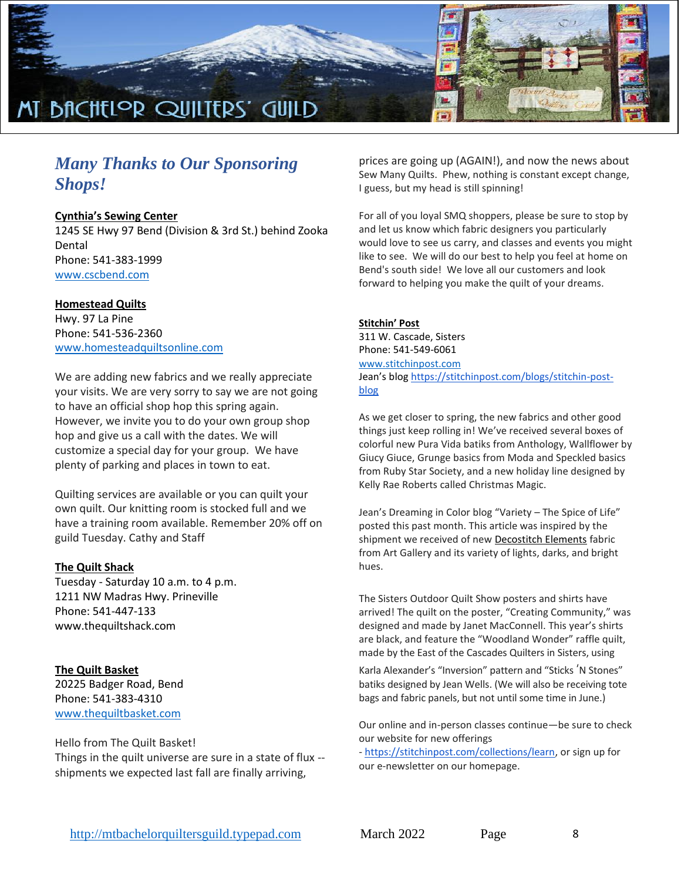![](_page_7_Picture_0.jpeg)

### *Many Thanks to Our Sponsoring Shops!*

#### **Cynthia's Sewing Center**

1245 SE Hwy 97 Bend (Division & 3rd St.) behind Zooka Dental Phone: 541-383-1999 [www.cscbend.com](http://www.cscbend.com/)

#### **Homestead Quilts**

Hwy. 97 La Pine Phone: 541-536-2360 [www.homesteadquiltsonline.com](http://www.homesteadquiltsonline.com/)

We are adding new fabrics and we really appreciate your visits. We are very sorry to say we are not going to have an official shop hop this spring again. However, we invite you to do your own group shop hop and give us a call with the dates. We will customize a special day for your group. We have plenty of parking and places in town to eat.

Quilting services are available or you can quilt your own quilt. Our knitting room is stocked full and we have a training room available. Remember 20% off on guild Tuesday. Cathy and Staff

#### **The Quilt Shack**

Tuesday - Saturday 10 a.m. to 4 p.m. 1211 NW Madras Hwy. Prineville Phone: 541-447-133 www.thequiltshack.com

#### **The Quilt Basket**

20225 Badger Road, Bend Phone: 541-383-4310 [www.thequiltbasket.com](http://www.thequiltbasket.com/)

#### Hello from The Quilt Basket!

Things in the quilt universe are sure in a state of flux - shipments we expected last fall are finally arriving,

prices are going up (AGAIN!), and now the news about Sew Many Quilts. Phew, nothing is constant except change, I guess, but my head is still spinning!

For all of you loyal SMQ shoppers, please be sure to stop by and let us know which fabric designers you particularly would love to see us carry, and classes and events you might like to see. We will do our best to help you feel at home on Bend's south side! We love all our customers and look forward to helping you make the quilt of your dreams.

#### **Stitchin' Post**

311 W. Cascade, Sisters Phone: 541-549-6061 [www.stitchinpost.com](http://www.stitchinpost.com/) Jean's blog [https://stitchinpost.com/blogs/stitchin-post](https://stitchinpost.com/blogs/stitchin-post-blog)[blog](https://stitchinpost.com/blogs/stitchin-post-blog)

As we get closer to spring, the new fabrics and other good things just keep rolling in! We've received several boxes of colorful new Pura Vida batiks from Anthology, Wallflower by Giucy Giuce, Grunge basics from Moda and Speckled basics from Ruby Star Society, and a new holiday line designed by Kelly Rae Roberts called Christmas Magic.

Jean's Dreaming in Color blog "Variety – The Spice of Life" posted this past month. This article was inspired by the shipment we received of new [Decostitch Elements](https://stitchinpost.com/search?type=product%2Cpage&q=decostitch*) fabric from Art Gallery and its variety of lights, darks, and bright hues.

The Sisters Outdoor Quilt Show posters and shirts have arrived! The quilt on the poster, "Creating Community," was designed and made by Janet MacConnell. This year's shirts are black, and feature the "Woodland Wonder" raffle quilt, made by the East of the Cascades Quilters in Sisters, using

Karla Alexander's "Inversion" pattern and "Sticks 'N Stones" batiks designed by Jean Wells. (We will also be receiving tote bags and fabric panels, but not until some time in June.)

Our online and in-person classes continue—be sure to check our website for new offerings

- [https://stitchinpost.com/collections/learn,](https://stitchinpost.com/collections/learn) or sign up for our e-newsletter on our homepage.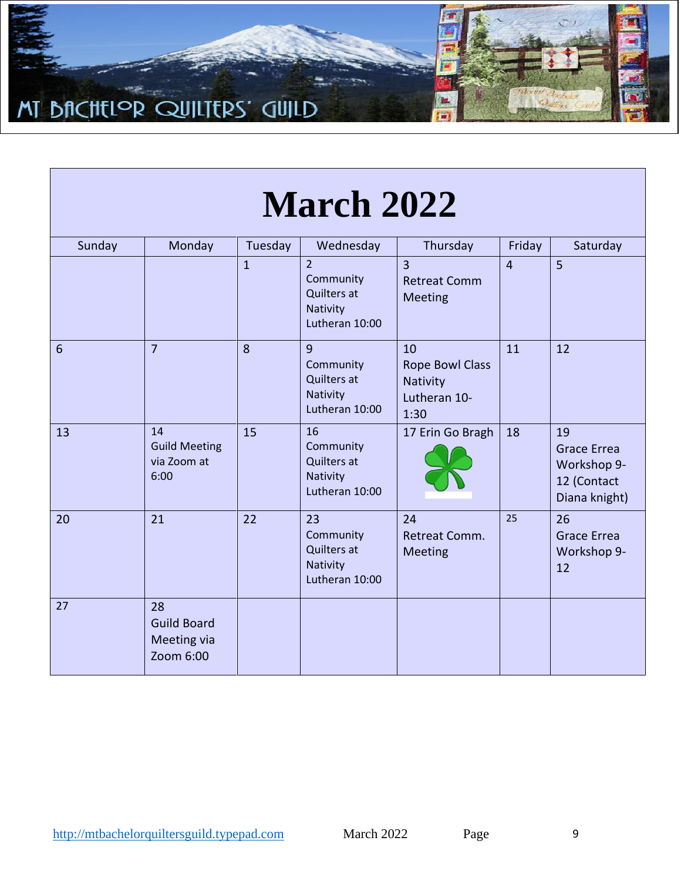![](_page_8_Picture_0.jpeg)

| <b>March 2022</b> |                                                             |                |                                                                          |                                                                  |                |                                                                         |  |  |
|-------------------|-------------------------------------------------------------|----------------|--------------------------------------------------------------------------|------------------------------------------------------------------|----------------|-------------------------------------------------------------------------|--|--|
| Sunday            | Monday                                                      | Tuesday        | Wednesday                                                                | Thursday                                                         | Friday         | Saturday                                                                |  |  |
|                   |                                                             | $\overline{1}$ | $\overline{2}$<br>Community<br>Quilters at<br>Nativity<br>Lutheran 10:00 | $\overline{3}$<br><b>Retreat Comm</b><br><b>Meeting</b>          | $\overline{4}$ | 5 <sup>5</sup>                                                          |  |  |
| $6\phantom{1}6$   | $\overline{7}$                                              | 8              | 9<br>Community<br><b>Quilters at</b><br>Nativity<br>Lutheran 10:00       | 10<br><b>Rope Bowl Class</b><br>Nativity<br>Lutheran 10-<br>1:30 | 11             | 12                                                                      |  |  |
| 13                | 14<br><b>Guild Meeting</b><br>via Zoom at<br>6:00           | 15             | 16<br>Community<br>Quilters at<br>Nativity<br>Lutheran 10:00             | 17 Erin Go Bragh                                                 | 18             | 19<br><b>Grace Errea</b><br>Workshop 9-<br>12 (Contact<br>Diana knight) |  |  |
| 20                | 21                                                          | 22             | 23<br>Community<br>Quilters at<br>Nativity<br>Lutheran 10:00             | 24<br>Retreat Comm.<br><b>Meeting</b>                            | 25             | 26<br><b>Grace Errea</b><br>Workshop 9-<br>12                           |  |  |
| 27                | 28<br><b>Guild Board</b><br><b>Meeting via</b><br>Zoom 6:00 |                |                                                                          |                                                                  |                |                                                                         |  |  |

 $\overline{\phantom{a}}$